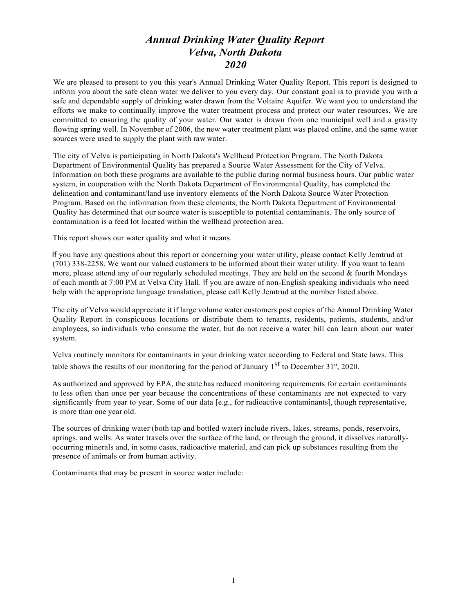## *Annual Drinking Water Quality Report Velva, North Dakota 2020*

We are pleased to present to you this year's Annual Drinking Water Quality Report. This report is designed to inform you about the safe clean water we deliver to you every day. Our constant goal is to provide you with a safe and dependable supply of drinking water drawn from the Voltaire Aquifer. We want you to understand the efforts we make to continually improve the water treatment process and protect our water resources. We are committed to ensuring the quality of your water. Our water is drawn from one municipal well and a gravity flowing spring well. In November of 2006, the new water treatment plant was placed online, and the same water sources were used to supply the plant with raw water.

The city of Velva is participating in North Dakota's Wellhead Protection Program. The North Dakota Department of Environmental Quality has prepared a Source Water Assessment for the City of Velva. Information on both these programs are available to the public during normal business hours. Our public water system, in cooperation with the North Dakota Department of Environmental Quality, has completed the delineation and contaminant/land use inventory elements of the North Dakota Source Water Protection Program. Based on the information from these elements, the North Dakota Department of Environmental Quality has determined that our source water is susceptible to potential contaminants. The only source of contamination is a feed lot located within the wellhead protection area.

This report shows our water quality and what it means.

If you have any questions about this report or concerning your water utility, please contact Kelly Jemtrud at (701) 338-2258. We want our valued customers to be informed about their water utility. If you want to learn more, please attend any of our regularly scheduled meetings. They are held on the second  $&$  fourth Mondays of each month at 7:00 PM at Velva City Hall. If you are aware of non-English speaking individuals who need help with the appropriate language translation, please call Kelly Jemtrud at the number listed above.

The city of Velva would appreciate it if large volume water customers post copies of the Annual Drinking Water Quality Report in conspicuous locations or distribute them to tenants, residents, patients, students, and/or employees, so individuals who consume the water, but do not receive a water bill can learn about our water system.

Velva routinely monitors for contaminants in your drinking water according to Federal and State laws. This table shows the results of our monitoring for the period of January  $1<sup>st</sup>$  to December 31", 2020.

As authorized and approved by EPA, the state has reduced monitoring requirements for certain contaminants to less often than once per year because the concentrations of these contaminants are not expected to vary significantly from year to year. Some of our data [e.g., for radioactive contaminants], though representative, is more than one year old.

The sources of drinking water (both tap and bottled water) include rivers, lakes, streams, ponds, reservoirs, springs, and wells. As water travels over the surface of the land, or through the ground, it dissolves naturallyoccurring minerals and, in some cases, radioactive material, and can pick up substances resulting from the presence of animals or from human activity.

Contaminants that may be present in source water include: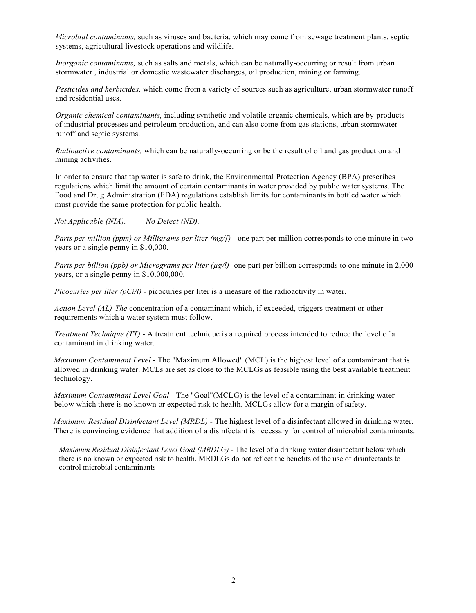*Microbial contaminants,* such as viruses and bacteria, which may come from sewage treatment plants, septic systems, agricultural livestock operations and wildlife.

*Inorganic contaminants*, such as salts and metals, which can be naturally-occurring or result from urban stormwater , industrial or domestic wastewater discharges, oil production, mining or farming.

*Pesticides and herbicides,* which come from a variety of sources such as agriculture, urban stormwater runoff and residential uses.

*Organic chemical contaminants,* including synthetic and volatile organic chemicals, which are by-products of industrial processes and petroleum production, and can also come from gas stations, urban stormwater runoff and septic systems.

*Radioactive contaminants,* which can be naturally-occurring or be the result of oil and gas production and mining activities.

In order to ensure that tap water is safe to drink, the Environmental Protection Agency (BPA) prescribes regulations which limit the amount of certain contaminants in water provided by public water systems. The Food and Drug Administration (FDA) regulations establish limits for contaminants in bottled water which must provide the same protection for public health.

*Not Applicable (NIA). No Detect (ND).*

*Parts per million (ppm) or Milligrams per liter (mg/f)* - one part per million corresponds to one minute in two years or a single penny in \$10,000.

*Parts per billion (ppb) or Micrograms per liter (µg/l)*- one part per billion corresponds to one minute in 2,000 years, or a single penny in \$10,000,000.

*Picocuries per liter (pCi/l)* - picocuries per liter is a measure of the radioactivity in water.

*Action Level (AL)-The* concentration of a contaminant which, if exceeded, triggers treatment or other requirements which a water system must follow.

*Treatment Technique (TT) - A treatment technique is a required process intended to reduce the level of a* contaminant in drinking water.

*Maximum Contaminant Level* - The "Maximum Allowed" (MCL) is the highest level of a contaminant that is allowed in drinking water. MCLs are set as close to the MCLGs as feasible using the best available treatment technology.

*Maximum Contaminant Level Goal* - The "Goal"(MCLG) is the level of a contaminant in drinking water below which there is no known or expected risk to health. MCLGs allow for a margin of safety.

*Maximum Residual Disinfectant Level (MRDL)* - The highest level of a disinfectant allowed in drinking water. There is convincing evidence that addition of a disinfectant is necessary for control of microbial contaminants.

*Maximum Residual Disinfectant Level Goal (MRDLG)* - The level of a drinking water disinfectant below which there is no known or expected risk to health. MRDLGs do not reflect the benefits of the use of disinfectants to control microbial contaminants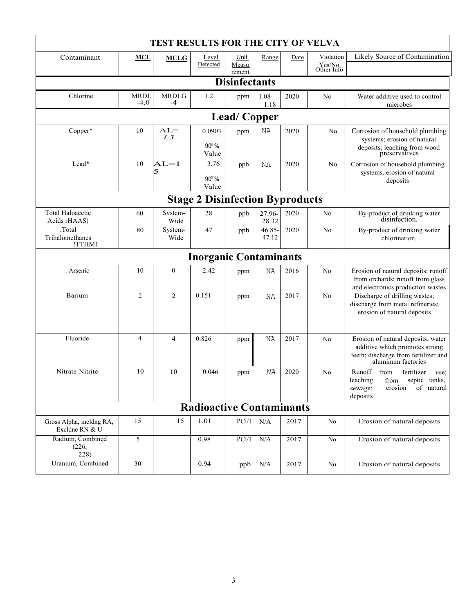| <b>TEST RESULTS FOR THE CITY OF VELVA</b>  |                       |                      |                                        |                 |                  |      |                        |                                                                                                                                    |
|--------------------------------------------|-----------------------|----------------------|----------------------------------------|-----------------|------------------|------|------------------------|------------------------------------------------------------------------------------------------------------------------------------|
| Contaminant                                | <b>MCL</b>            | <b>MCLG</b>          | Level                                  | Unit            | Range            | Date | Violation              | Likely Source of Contamination                                                                                                     |
|                                            |                       |                      | Detected                               | Measu<br>rement |                  |      | $\frac{Yes/No}{Other}$ |                                                                                                                                    |
| <b>Disinfectants</b>                       |                       |                      |                                        |                 |                  |      |                        |                                                                                                                                    |
| Chlorine                                   | <b>MRDL</b><br>$-4.0$ | <b>MRDLG</b><br>$-4$ | 1.2                                    | ppm             | $1.08 -$<br>1.18 | 2020 | No                     | Water additive used to control<br>microbes                                                                                         |
| <b>Lead/Copper</b>                         |                       |                      |                                        |                 |                  |      |                        |                                                                                                                                    |
| Copper*                                    | 10                    | $AL=$<br>l.3         | 0.0903<br>90 <sup>tho</sup> %<br>Value | ppm             | ΝA               | 2020 | No                     | Corrosion of household plumbing<br>systems; erosion of natural<br>deposits; leaching from wood<br>preservatives                    |
| Lead*                                      | 10                    | $AL=1$<br>5          | 3.76<br>90th%                          | ppb             | NA               | 2020 | No                     | Corrosion of household plumbing<br>systems, erosion of natural                                                                     |
|                                            |                       |                      | Value                                  |                 |                  |      |                        | deposits                                                                                                                           |
| <b>Stage 2 Disinfection Byproducts</b>     |                       |                      |                                        |                 |                  |      |                        |                                                                                                                                    |
| <b>Total Haloacetic</b><br>Acids rHAAS)    | 60                    | System-<br>Wide      | 28                                     | ppb             | 27.96-<br>28.32  | 2020 | No                     | By-product of drinking water<br>disinfection.                                                                                      |
| .Total<br>Trihalomethanes<br>!TTHM1        | 80                    | System-<br>Wide      | 47                                     | ppb             | 46.85-<br>47.12  | 2020 | No                     | By-product of drinking water<br>chlorination.                                                                                      |
| <b>Inorganic Contaminants</b>              |                       |                      |                                        |                 |                  |      |                        |                                                                                                                                    |
| . Arsenic                                  | 10                    | $\mathbf{0}$         | 2.42                                   | ppm             | ΝA               | 2016 | No                     | Erosion of natural deposits; runoff<br>from orchards; runoff from glass<br>and electronics production wastes                       |
| Barium                                     | 2                     | $\overline{2}$       | 0.151                                  | ppm             | NA               | 2017 | No                     | Discharge of drilling wastes;<br>discharge from metal refineries;<br>erosion of natural deposits                                   |
| Fluoride                                   | 4                     | 4                    | 0.826                                  | ppm             | ΝA               | 2017 | No                     | Erosion of natural deposits; water<br>additive which promotes strong<br>teeth; discharge from fertilizer and<br>aluminum factories |
| Nitrate-Nitrite                            | 10                    | 10                   | 0.046                                  | ppm             | NA               | 2020 | No                     | Runoff<br>from<br>fertilizer<br>use;<br>leaching<br>from septic tanks,<br>erosion<br>of natural<br>sewage;<br>deposits             |
| <b>Radioactive Contaminants</b>            |                       |                      |                                        |                 |                  |      |                        |                                                                                                                                    |
| Gross Alpha, incldng RA,<br>Excldne RN & U | 15                    | 15                   | 1.01                                   | PCi/1           | N/A              | 2017 | No                     | Erosion of natural deposits                                                                                                        |
| Radium, Combined<br>(226,<br>228)          | 5                     |                      | 0.98                                   | PCi/1           | N/A              | 2017 | No                     | Erosion of natural deposits                                                                                                        |
| Uranium, Combined                          | 30                    |                      | 0.94                                   | ppb             | $\rm N/A$        | 2017 | No                     | Erosion of natural deposits                                                                                                        |